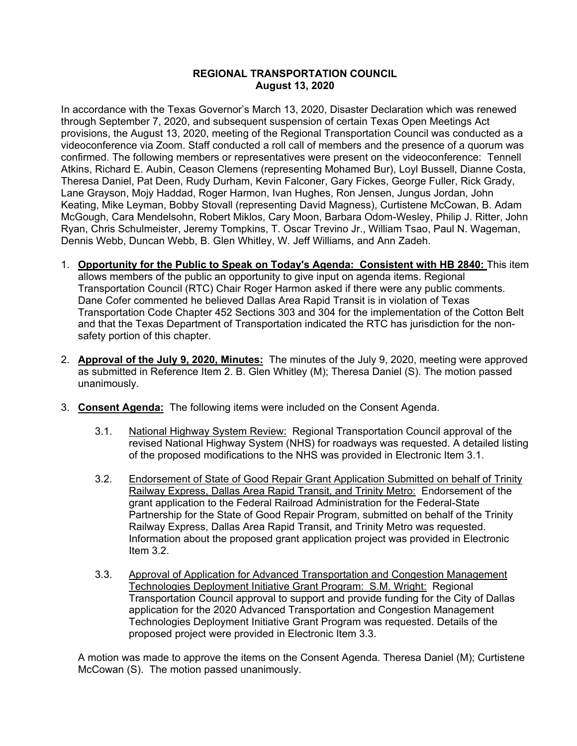## **REGIONAL TRANSPORTATION COUNCIL August 13, 2020**

In accordance with the Texas Governor's March 13, 2020, Disaster Declaration which was renewed through September 7, 2020, and subsequent suspension of certain Texas Open Meetings Act provisions, the August 13, 2020, meeting of the Regional Transportation Council was conducted as a videoconference via Zoom. Staff conducted a roll call of members and the presence of a quorum was confirmed. The following members or representatives were present on the videoconference: Tennell Atkins, Richard E. Aubin, Ceason Clemens (representing Mohamed Bur), Loyl Bussell, Dianne Costa, Theresa Daniel, Pat Deen, Rudy Durham, Kevin Falconer, Gary Fickes, George Fuller, Rick Grady, Lane Grayson, Mojy Haddad, Roger Harmon, Ivan Hughes, Ron Jensen, Jungus Jordan, John Keating, Mike Leyman, Bobby Stovall (representing David Magness), Curtistene McCowan, B. Adam McGough, Cara Mendelsohn, Robert Miklos, Cary Moon, Barbara Odom-Wesley, Philip J. Ritter, John Ryan, Chris Schulmeister, Jeremy Tompkins, T. Oscar Trevino Jr., William Tsao, Paul N. Wageman, Dennis Webb, Duncan Webb, B. Glen Whitley, W. Jeff Williams, and Ann Zadeh.

- 1. **Opportunity for the Public to Speak on Today's Agenda: Consistent with HB 2840:** This item allows members of the public an opportunity to give input on agenda items. Regional Transportation Council (RTC) Chair Roger Harmon asked if there were any public comments. Dane Cofer commented he believed Dallas Area Rapid Transit is in violation of Texas Transportation Code Chapter 452 Sections 303 and 304 for the implementation of the Cotton Belt and that the Texas Department of Transportation indicated the RTC has jurisdiction for the nonsafety portion of this chapter.
- 2. **Approval of the July 9, 2020, Minutes:** The minutes of the July 9, 2020, meeting were approved as submitted in Reference Item 2. B. Glen Whitley (M); Theresa Daniel (S). The motion passed unanimously.
- 3. **Consent Agenda:** The following items were included on the Consent Agenda.
	- 3.1. National Highway System Review: Regional Transportation Council approval of the revised National Highway System (NHS) for roadways was requested. A detailed listing of the proposed modifications to the NHS was provided in Electronic Item 3.1.
	- 3.2. Endorsement of State of Good Repair Grant Application Submitted on behalf of Trinity Railway Express, Dallas Area Rapid Transit, and Trinity Metro: Endorsement of the grant application to the Federal Railroad Administration for the Federal-State Partnership for the State of Good Repair Program, submitted on behalf of the Trinity Railway Express, Dallas Area Rapid Transit, and Trinity Metro was requested. Information about the proposed grant application project was provided in Electronic Item 3.2.
	- 3.3. Approval of Application for Advanced Transportation and Congestion Management Technologies Deployment Initiative Grant Program: S.M. Wright: Regional Transportation Council approval to support and provide funding for the City of Dallas application for the 2020 Advanced Transportation and Congestion Management Technologies Deployment Initiative Grant Program was requested. Details of the proposed project were provided in Electronic Item 3.3.

A motion was made to approve the items on the Consent Agenda. Theresa Daniel (M); Curtistene McCowan (S). The motion passed unanimously.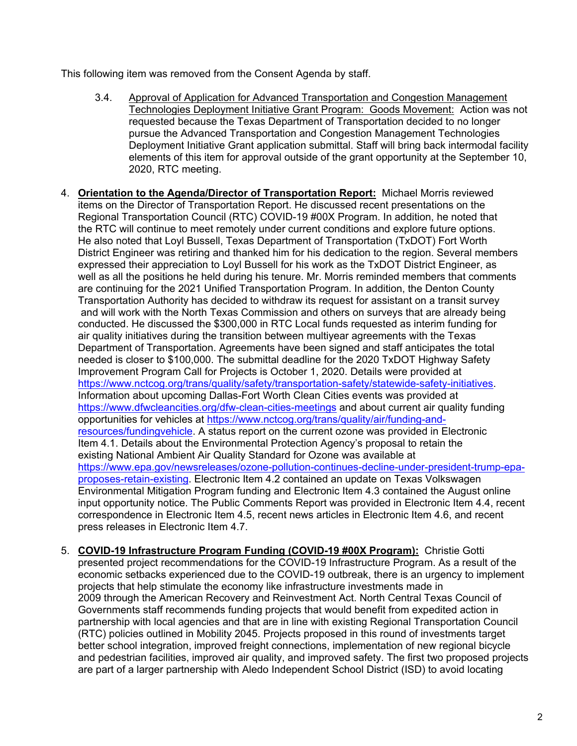This following item was removed from the Consent Agenda by staff.

- 3.4. Approval of Application for Advanced Transportation and Congestion Management Technologies Deployment Initiative Grant Program: Goods Movement: Action was not requested because the Texas Department of Transportation decided to no longer pursue the Advanced Transportation and Congestion Management Technologies Deployment Initiative Grant application submittal. Staff will bring back intermodal facility elements of this item for approval outside of the grant opportunity at the September 10, 2020, RTC meeting.
- 4. **Orientation to the Agenda/Director of Transportation Report:** Michael Morris reviewed items on the Director of Transportation Report. He discussed recent presentations on the Regional Transportation Council (RTC) COVID-19 #00X Program. In addition, he noted that the RTC will continue to meet remotely under current conditions and explore future options. He also noted that Loyl Bussell, Texas Department of Transportation (TxDOT) Fort Worth District Engineer was retiring and thanked him for his dedication to the region. Several members expressed their appreciation to Loyl Bussell for his work as the TxDOT District Engineer, as well as all the positions he held during his tenure. Mr. Morris reminded members that comments are continuing for the 2021 Unified Transportation Program. In addition, the Denton County Transportation Authority has decided to withdraw its request for assistant on a transit survey and will work with the North Texas Commission and others on surveys that are already being conducted. He discussed the \$300,000 in RTC Local funds requested as interim funding for air quality initiatives during the transition between multiyear agreements with the Texas Department of Transportation. Agreements have been signed and staff anticipates the total needed is closer to \$100,000. The submittal deadline for the 2020 TxDOT Highway Safety Improvement Program Call for Projects is October 1, 2020. Details were provided at [https://www.nctcog.org/trans/quality/safety/transportation-safety/statewide-safety-initiatives.](https://www.nctcog.org/trans/quality/safety/transportation-safety/statewide-safety-initiatives) Information about upcoming Dallas-Fort Worth Clean Cities events was provided at <https://www.dfwcleancities.org/dfw-clean-cities-meetings> and about current air quality funding opportunities for vehicles at [https://www.nctcog.org/trans/quality/air/funding-and](https://www.nctcog.org/trans/quality/air/funding-and-resources/fundingvehicle)[resources/fundingvehicle.](https://www.nctcog.org/trans/quality/air/funding-and-resources/fundingvehicle) A status report on the current ozone was provided in Electronic Item 4.1. Details about the Environmental Protection Agency's proposal to retain the existing National Ambient Air Quality Standard for Ozone was available at [https://www.epa.gov/newsreleases/ozone-pollution-continues-decline-under-president-trump-epa](https://www.epa.gov/newsreleases/ozone-pollution-continues-decline-under-president-trump-epa-proposes-retain-existing)[proposes-retain-existing.](https://www.epa.gov/newsreleases/ozone-pollution-continues-decline-under-president-trump-epa-proposes-retain-existing) Electronic Item 4.2 contained an update on Texas Volkswagen Environmental Mitigation Program funding and Electronic Item 4.3 contained the August online input opportunity notice. The Public Comments Report was provided in Electronic Item 4.4, recent correspondence in Electronic Item 4.5, recent news articles in Electronic Item 4.6, and recent press releases in Electronic Item 4.7.
- 5. **COVID-19 Infrastructure Program Funding (COVID-19 #00X Program):** Christie Gotti presented project recommendations for the COVID-19 Infrastructure Program. As a result of the economic setbacks experienced due to the COVID-19 outbreak, there is an urgency to implement projects that help stimulate the economy like infrastructure investments made in 2009 through the American Recovery and Reinvestment Act. North Central Texas Council of Governments staff recommends funding projects that would benefit from expedited action in partnership with local agencies and that are in line with existing Regional Transportation Council (RTC) policies outlined in Mobility 2045. Projects proposed in this round of investments target better school integration, improved freight connections, implementation of new regional bicycle and pedestrian facilities, improved air quality, and improved safety. The first two proposed projects are part of a larger partnership with Aledo Independent School District (ISD) to avoid locating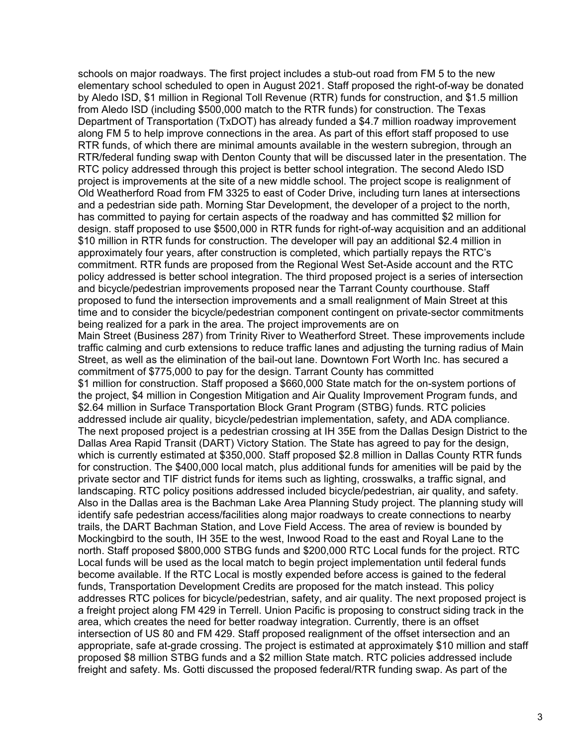schools on major roadways. The first project includes a stub-out road from FM 5 to the new elementary school scheduled to open in August 2021. Staff proposed the right-of-way be donated by Aledo ISD, \$1 million in Regional Toll Revenue (RTR) funds for construction, and \$1.5 million from Aledo ISD (including \$500,000 match to the RTR funds) for construction. The Texas Department of Transportation (TxDOT) has already funded a \$4.7 million roadway improvement along FM 5 to help improve connections in the area. As part of this effort staff proposed to use RTR funds, of which there are minimal amounts available in the western subregion, through an RTR/federal funding swap with Denton County that will be discussed later in the presentation. The RTC policy addressed through this project is better school integration. The second Aledo ISD project is improvements at the site of a new middle school. The project scope is realignment of Old Weatherford Road from FM 3325 to east of Coder Drive, including turn lanes at intersections and a pedestrian side path. Morning Star Development, the developer of a project to the north, has committed to paying for certain aspects of the roadway and has committed \$2 million for design. staff proposed to use \$500,000 in RTR funds for right-of-way acquisition and an additional \$10 million in RTR funds for construction. The developer will pay an additional \$2.4 million in approximately four years, after construction is completed, which partially repays the RTC's commitment. RTR funds are proposed from the Regional West Set-Aside account and the RTC policy addressed is better school integration. The third proposed project is a series of intersection and bicycle/pedestrian improvements proposed near the Tarrant County courthouse. Staff proposed to fund the intersection improvements and a small realignment of Main Street at this time and to consider the bicycle/pedestrian component contingent on private-sector commitments being realized for a park in the area. The project improvements are on Main Street (Business 287) from Trinity River to Weatherford Street. These improvements include traffic calming and curb extensions to reduce traffic lanes and adjusting the turning radius of Main Street, as well as the elimination of the bail-out lane. Downtown Fort Worth Inc. has secured a commitment of \$775,000 to pay for the design. Tarrant County has committed \$1 million for construction. Staff proposed a \$660,000 State match for the on-system portions of the project, \$4 million in Congestion Mitigation and Air Quality Improvement Program funds, and \$2.64 million in Surface Transportation Block Grant Program (STBG) funds. RTC policies addressed include air quality, bicycle/pedestrian implementation, safety, and ADA compliance. The next proposed project is a pedestrian crossing at IH 35E from the Dallas Design District to the Dallas Area Rapid Transit (DART) Victory Station. The State has agreed to pay for the design, which is currently estimated at \$350,000. Staff proposed \$2.8 million in Dallas County RTR funds for construction. The \$400,000 local match, plus additional funds for amenities will be paid by the private sector and TIF district funds for items such as lighting, crosswalks, a traffic signal, and landscaping. RTC policy positions addressed included bicycle/pedestrian, air quality, and safety. Also in the Dallas area is the Bachman Lake Area Planning Study project. The planning study will identify safe pedestrian access/facilities along major roadways to create connections to nearby trails, the DART Bachman Station, and Love Field Access. The area of review is bounded by Mockingbird to the south, IH 35E to the west, Inwood Road to the east and Royal Lane to the north. Staff proposed \$800,000 STBG funds and \$200,000 RTC Local funds for the project. RTC Local funds will be used as the local match to begin project implementation until federal funds become available. If the RTC Local is mostly expended before access is gained to the federal funds, Transportation Development Credits are proposed for the match instead. This policy addresses RTC polices for bicycle/pedestrian, safety, and air quality. The next proposed project is a freight project along FM 429 in Terrell. Union Pacific is proposing to construct siding track in the area, which creates the need for better roadway integration. Currently, there is an offset intersection of US 80 and FM 429. Staff proposed realignment of the offset intersection and an appropriate, safe at-grade crossing. The project is estimated at approximately \$10 million and staff proposed \$8 million STBG funds and a \$2 million State match. RTC policies addressed include freight and safety. Ms. Gotti discussed the proposed federal/RTR funding swap. As part of the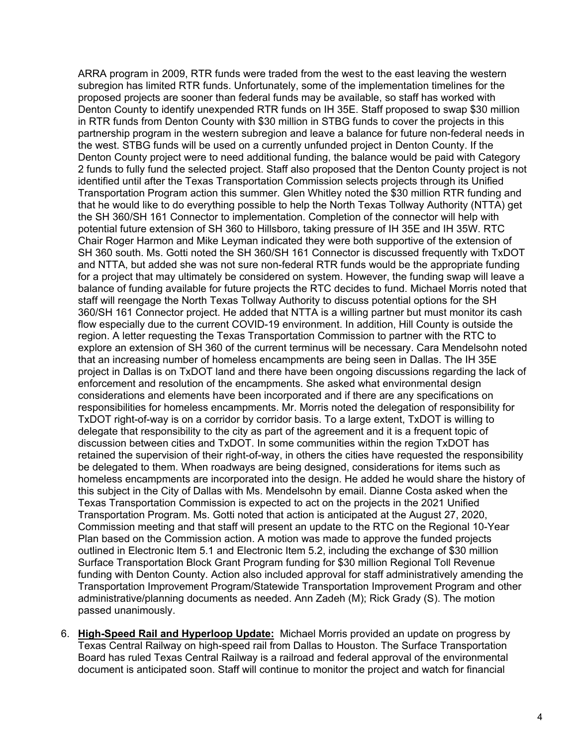ARRA program in 2009, RTR funds were traded from the west to the east leaving the western subregion has limited RTR funds. Unfortunately, some of the implementation timelines for the proposed projects are sooner than federal funds may be available, so staff has worked with Denton County to identify unexpended RTR funds on IH 35E. Staff proposed to swap \$30 million in RTR funds from Denton County with \$30 million in STBG funds to cover the projects in this partnership program in the western subregion and leave a balance for future non-federal needs in the west. STBG funds will be used on a currently unfunded project in Denton County. If the Denton County project were to need additional funding, the balance would be paid with Category 2 funds to fully fund the selected project. Staff also proposed that the Denton County project is not identified until after the Texas Transportation Commission selects projects through its Unified Transportation Program action this summer. Glen Whitley noted the \$30 million RTR funding and that he would like to do everything possible to help the North Texas Tollway Authority (NTTA) get the SH 360/SH 161 Connector to implementation. Completion of the connector will help with potential future extension of SH 360 to Hillsboro, taking pressure of IH 35E and IH 35W. RTC Chair Roger Harmon and Mike Leyman indicated they were both supportive of the extension of SH 360 south. Ms. Gotti noted the SH 360/SH 161 Connector is discussed frequently with TxDOT and NTTA, but added she was not sure non-federal RTR funds would be the appropriate funding for a project that may ultimately be considered on system. However, the funding swap will leave a balance of funding available for future projects the RTC decides to fund. Michael Morris noted that staff will reengage the North Texas Tollway Authority to discuss potential options for the SH 360/SH 161 Connector project. He added that NTTA is a willing partner but must monitor its cash flow especially due to the current COVID-19 environment. In addition, Hill County is outside the region. A letter requesting the Texas Transportation Commission to partner with the RTC to explore an extension of SH 360 of the current terminus will be necessary. Cara Mendelsohn noted that an increasing number of homeless encampments are being seen in Dallas. The IH 35E project in Dallas is on TxDOT land and there have been ongoing discussions regarding the lack of enforcement and resolution of the encampments. She asked what environmental design considerations and elements have been incorporated and if there are any specifications on responsibilities for homeless encampments. Mr. Morris noted the delegation of responsibility for TxDOT right-of-way is on a corridor by corridor basis. To a large extent, TxDOT is willing to delegate that responsibility to the city as part of the agreement and it is a frequent topic of discussion between cities and TxDOT. In some communities within the region TxDOT has retained the supervision of their right-of-way, in others the cities have requested the responsibility be delegated to them. When roadways are being designed, considerations for items such as homeless encampments are incorporated into the design. He added he would share the history of this subject in the City of Dallas with Ms. Mendelsohn by email. Dianne Costa asked when the Texas Transportation Commission is expected to act on the projects in the 2021 Unified Transportation Program. Ms. Gotti noted that action is anticipated at the August 27, 2020, Commission meeting and that staff will present an update to the RTC on the Regional 10-Year Plan based on the Commission action. A motion was made to approve the funded projects outlined in Electronic Item 5.1 and Electronic Item 5.2, including the exchange of \$30 million Surface Transportation Block Grant Program funding for \$30 million Regional Toll Revenue funding with Denton County. Action also included approval for staff administratively amending the Transportation Improvement Program/Statewide Transportation Improvement Program and other administrative/planning documents as needed. Ann Zadeh (M); Rick Grady (S). The motion passed unanimously.

6. **High-Speed Rail and Hyperloop Update:** Michael Morris provided an update on progress by Texas Central Railway on high-speed rail from Dallas to Houston. The Surface Transportation Board has ruled Texas Central Railway is a railroad and federal approval of the environmental document is anticipated soon. Staff will continue to monitor the project and watch for financial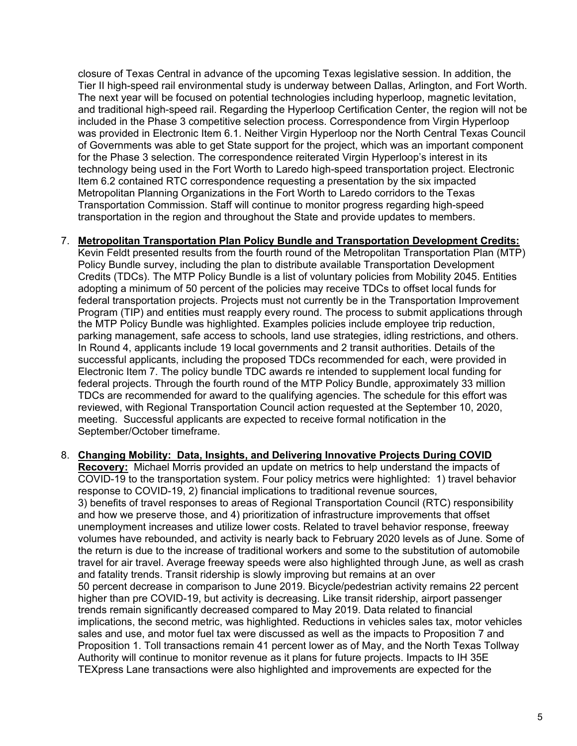closure of Texas Central in advance of the upcoming Texas legislative session. In addition, the Tier II high-speed rail environmental study is underway between Dallas, Arlington, and Fort Worth. The next year will be focused on potential technologies including hyperloop, magnetic levitation, and traditional high-speed rail. Regarding the Hyperloop Certification Center, the region will not be included in the Phase 3 competitive selection process. Correspondence from Virgin Hyperloop was provided in Electronic Item 6.1. Neither Virgin Hyperloop nor the North Central Texas Council of Governments was able to get State support for the project, which was an important component for the Phase 3 selection. The correspondence reiterated Virgin Hyperloop's interest in its technology being used in the Fort Worth to Laredo high-speed transportation project. Electronic Item 6.2 contained RTC correspondence requesting a presentation by the six impacted Metropolitan Planning Organizations in the Fort Worth to Laredo corridors to the Texas Transportation Commission. Staff will continue to monitor progress regarding high-speed transportation in the region and throughout the State and provide updates to members.

## 7. **Metropolitan Transportation Plan Policy Bundle and Transportation Development Credits:**

Kevin Feldt presented results from the fourth round of the Metropolitan Transportation Plan (MTP) Policy Bundle survey, including the plan to distribute available Transportation Development Credits (TDCs). The MTP Policy Bundle is a list of voluntary policies from Mobility 2045. Entities adopting a minimum of 50 percent of the policies may receive TDCs to offset local funds for federal transportation projects. Projects must not currently be in the Transportation Improvement Program (TIP) and entities must reapply every round. The process to submit applications through the MTP Policy Bundle was highlighted. Examples policies include employee trip reduction, parking management, safe access to schools, land use strategies, idling restrictions, and others. In Round 4, applicants include 19 local governments and 2 transit authorities. Details of the successful applicants, including the proposed TDCs recommended for each, were provided in Electronic Item 7. The policy bundle TDC awards re intended to supplement local funding for federal projects. Through the fourth round of the MTP Policy Bundle, approximately 33 million TDCs are recommended for award to the qualifying agencies. The schedule for this effort was reviewed, with Regional Transportation Council action requested at the September 10, 2020, meeting. Successful applicants are expected to receive formal notification in the September/October timeframe.

## 8. **Changing Mobility: Data, Insights, and Delivering Innovative Projects During COVID**

**Recovery:** Michael Morris provided an update on metrics to help understand the impacts of COVID-19 to the transportation system. Four policy metrics were highlighted: 1) travel behavior response to COVID-19, 2) financial implications to traditional revenue sources, 3) benefits of travel responses to areas of Regional Transportation Council (RTC) responsibility and how we preserve those, and 4) prioritization of infrastructure improvements that offset unemployment increases and utilize lower costs. Related to travel behavior response, freeway volumes have rebounded, and activity is nearly back to February 2020 levels as of June. Some of the return is due to the increase of traditional workers and some to the substitution of automobile travel for air travel. Average freeway speeds were also highlighted through June, as well as crash and fatality trends. Transit ridership is slowly improving but remains at an over 50 percent decrease in comparison to June 2019. Bicycle/pedestrian activity remains 22 percent higher than pre COVID-19, but activity is decreasing. Like transit ridership, airport passenger trends remain significantly decreased compared to May 2019. Data related to financial implications, the second metric, was highlighted. Reductions in vehicles sales tax, motor vehicles sales and use, and motor fuel tax were discussed as well as the impacts to Proposition 7 and Proposition 1. Toll transactions remain 41 percent lower as of May, and the North Texas Tollway Authority will continue to monitor revenue as it plans for future projects. Impacts to IH 35E TEXpress Lane transactions were also highlighted and improvements are expected for the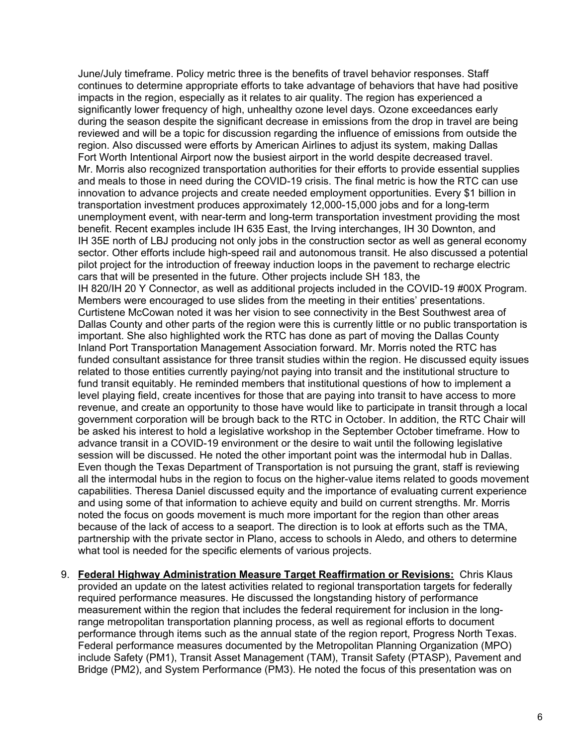June/July timeframe. Policy metric three is the benefits of travel behavior responses. Staff continues to determine appropriate efforts to take advantage of behaviors that have had positive impacts in the region, especially as it relates to air quality. The region has experienced a significantly lower frequency of high, unhealthy ozone level days. Ozone exceedances early during the season despite the significant decrease in emissions from the drop in travel are being reviewed and will be a topic for discussion regarding the influence of emissions from outside the region. Also discussed were efforts by American Airlines to adjust its system, making Dallas Fort Worth Intentional Airport now the busiest airport in the world despite decreased travel. Mr. Morris also recognized transportation authorities for their efforts to provide essential supplies and meals to those in need during the COVID-19 crisis. The final metric is how the RTC can use innovation to advance projects and create needed employment opportunities. Every \$1 billion in transportation investment produces approximately 12,000-15,000 jobs and for a long-term unemployment event, with near-term and long-term transportation investment providing the most benefit. Recent examples include IH 635 East, the Irving interchanges, IH 30 Downton, and IH 35E north of LBJ producing not only jobs in the construction sector as well as general economy sector. Other efforts include high-speed rail and autonomous transit. He also discussed a potential pilot project for the introduction of freeway induction loops in the pavement to recharge electric cars that will be presented in the future. Other projects include SH 183, the IH 820/IH 20 Y Connector, as well as additional projects included in the COVID-19 #00X Program. Members were encouraged to use slides from the meeting in their entities' presentations. Curtistene McCowan noted it was her vision to see connectivity in the Best Southwest area of Dallas County and other parts of the region were this is currently little or no public transportation is important. She also highlighted work the RTC has done as part of moving the Dallas County Inland Port Transportation Management Association forward. Mr. Morris noted the RTC has funded consultant assistance for three transit studies within the region. He discussed equity issues related to those entities currently paying/not paying into transit and the institutional structure to fund transit equitably. He reminded members that institutional questions of how to implement a level playing field, create incentives for those that are paying into transit to have access to more revenue, and create an opportunity to those have would like to participate in transit through a local government corporation will be brough back to the RTC in October. In addition, the RTC Chair will be asked his interest to hold a legislative workshop in the September October timeframe. How to advance transit in a COVID-19 environment or the desire to wait until the following legislative session will be discussed. He noted the other important point was the intermodal hub in Dallas. Even though the Texas Department of Transportation is not pursuing the grant, staff is reviewing all the intermodal hubs in the region to focus on the higher-value items related to goods movement capabilities. Theresa Daniel discussed equity and the importance of evaluating current experience and using some of that information to achieve equity and build on current strengths. Mr. Morris noted the focus on goods movement is much more important for the region than other areas because of the lack of access to a seaport. The direction is to look at efforts such as the TMA, partnership with the private sector in Plano, access to schools in Aledo, and others to determine what tool is needed for the specific elements of various projects.

9. **Federal Highway Administration Measure Target Reaffirmation or Revisions:** Chris Klaus provided an update on the latest activities related to regional transportation targets for federally required performance measures. He discussed the longstanding history of performance measurement within the region that includes the federal requirement for inclusion in the longrange metropolitan transportation planning process, as well as regional efforts to document performance through items such as the annual state of the region report, Progress North Texas. Federal performance measures documented by the Metropolitan Planning Organization (MPO) include Safety (PM1), Transit Asset Management (TAM), Transit Safety (PTASP), Pavement and Bridge (PM2), and System Performance (PM3). He noted the focus of this presentation was on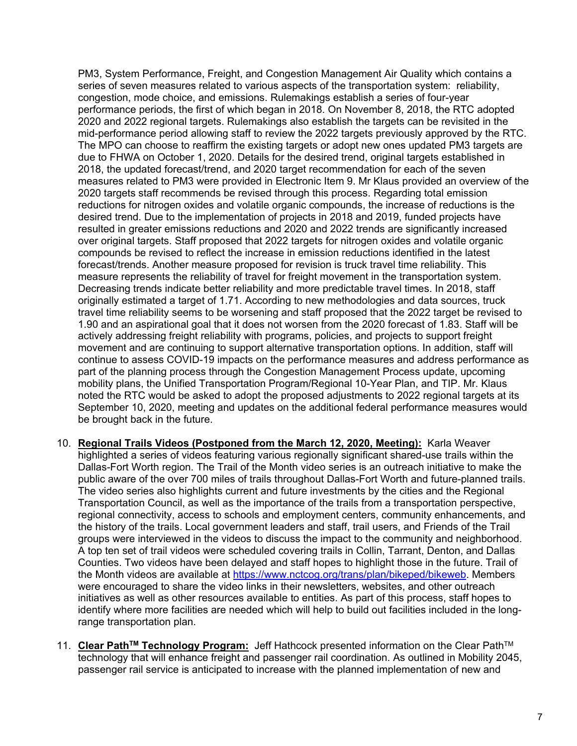PM3, System Performance, Freight, and Congestion Management Air Quality which contains a series of seven measures related to various aspects of the transportation system: reliability, congestion, mode choice, and emissions. Rulemakings establish a series of four-year performance periods, the first of which began in 2018. On November 8, 2018, the RTC adopted 2020 and 2022 regional targets. Rulemakings also establish the targets can be revisited in the mid-performance period allowing staff to review the 2022 targets previously approved by the RTC. The MPO can choose to reaffirm the existing targets or adopt new ones updated PM3 targets are due to FHWA on October 1, 2020. Details for the desired trend, original targets established in 2018, the updated forecast/trend, and 2020 target recommendation for each of the seven measures related to PM3 were provided in Electronic Item 9. Mr Klaus provided an overview of the 2020 targets staff recommends be revised through this process. Regarding total emission reductions for nitrogen oxides and volatile organic compounds, the increase of reductions is the desired trend. Due to the implementation of projects in 2018 and 2019, funded projects have resulted in greater emissions reductions and 2020 and 2022 trends are significantly increased over original targets. Staff proposed that 2022 targets for nitrogen oxides and volatile organic compounds be revised to reflect the increase in emission reductions identified in the latest forecast/trends. Another measure proposed for revision is truck travel time reliability. This measure represents the reliability of travel for freight movement in the transportation system. Decreasing trends indicate better reliability and more predictable travel times. In 2018, staff originally estimated a target of 1.71. According to new methodologies and data sources, truck travel time reliability seems to be worsening and staff proposed that the 2022 target be revised to 1.90 and an aspirational goal that it does not worsen from the 2020 forecast of 1.83. Staff will be actively addressing freight reliability with programs, policies, and projects to support freight movement and are continuing to support alternative transportation options. In addition, staff will continue to assess COVID-19 impacts on the performance measures and address performance as part of the planning process through the Congestion Management Process update, upcoming mobility plans, the Unified Transportation Program/Regional 10-Year Plan, and TIP. Mr. Klaus noted the RTC would be asked to adopt the proposed adjustments to 2022 regional targets at its September 10, 2020, meeting and updates on the additional federal performance measures would be brought back in the future.

- 10. **Regional Trails Videos (Postponed from the March 12, 2020, Meeting):** Karla Weaver highlighted a series of videos featuring various regionally significant shared-use trails within the Dallas-Fort Worth region. The Trail of the Month video series is an outreach initiative to make the public aware of the over 700 miles of trails throughout Dallas-Fort Worth and future-planned trails. The video series also highlights current and future investments by the cities and the Regional Transportation Council, as well as the importance of the trails from a transportation perspective, regional connectivity, access to schools and employment centers, community enhancements, and the history of the trails. Local government leaders and staff, trail users, and Friends of the Trail groups were interviewed in the videos to discuss the impact to the community and neighborhood. A top ten set of trail videos were scheduled covering trails in Collin, Tarrant, Denton, and Dallas Counties. Two videos have been delayed and staff hopes to highlight those in the future. Trail of the Month videos are available at [https://www.nctcog.org/trans/plan/bikeped/bikeweb.](https://www.nctcog.org/trans/plan/bikeped/bikeweb) Members were encouraged to share the video links in their newsletters, websites, and other outreach initiatives as well as other resources available to entities. As part of this process, staff hopes to identify where more facilities are needed which will help to build out facilities included in the longrange transportation plan.
- 11. Clear Path<sup>™</sup> Technology Program: Jeff Hathcock presented information on the Clear Path<sup>™</sup> technology that will enhance freight and passenger rail coordination. As outlined in Mobility 2045, passenger rail service is anticipated to increase with the planned implementation of new and